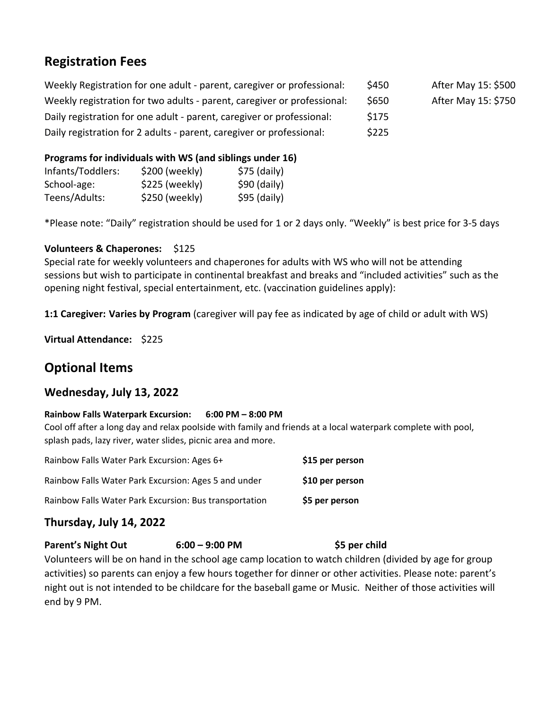# **Registration Fees**

Weekly Registration for one adult - parent, caregiver or professional: \$450 After May 15: \$500 Weekly registration for two adults - parent, caregiver or professional:  $$650$  After May 15: \$750 Daily registration for one adult - parent, caregiver or professional: \$175 Daily registration for 2 adults - parent, caregiver or professional: \$225

#### **Programs for individuals with WS (and siblings under 16)**

| Infants/Toddlers: | \$200 (weekly) | $$75$ (daily) |
|-------------------|----------------|---------------|
| School-age:       | \$225 (weekly) | $$90$ (daily) |
| Teens/Adults:     | \$250 (weekly) | $$95$ (daily) |

\*Please note: "Daily" registration should be used for 1 or 2 days only. "Weekly" is best price for 3-5 days

#### **Volunteers & Chaperones:** \$125

Special rate for weekly volunteers and chaperones for adults with WS who will not be attending sessions but wish to participate in continental breakfast and breaks and "included activities" such as the opening night festival, special entertainment, etc. (vaccination guidelines apply):

**1:1 Caregiver: Varies by Program** (caregiver will pay fee as indicated by age of child or adult with WS)

**Virtual Attendance:** \$225

# **Optional Items**

### **Wednesday, July 13, 2022**

#### **Rainbow Falls Waterpark Excursion: 6:00 PM – 8:00 PM**

Cool off after a long day and relax poolside with family and friends at a local waterpark complete with pool, splash pads, lazy river, water slides, picnic area and more.

| Rainbow Falls Water Park Excursion: Ages 6+            | \$15 per person |
|--------------------------------------------------------|-----------------|
| Rainbow Falls Water Park Excursion: Ages 5 and under   | \$10 per person |
| Rainbow Falls Water Park Excursion: Bus transportation | \$5 per person  |

## **Thursday, July 14, 2022**

#### **Parent's Night Out 6:00 – 9:00 PM \$5 per child**

Volunteers will be on hand in the school age camp location to watch children (divided by age for group activities) so parents can enjoy a few hours together for dinner or other activities. Please note: parent's night out is not intended to be childcare for the baseball game or Music. Neither of those activities will end by 9 PM.